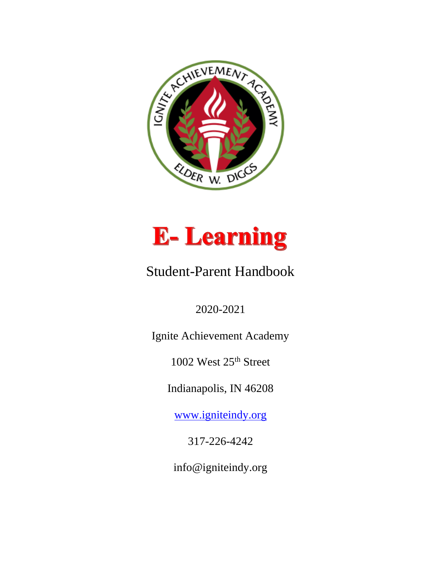



# Student-Parent Handbook

2020-2021

Ignite Achievement Academy

1002 West 25<sup>th</sup> Street

Indianapolis, IN 46208

[www.igniteindy.org](http://www.igniteindy.org/)

317-226-4242

info@igniteindy.org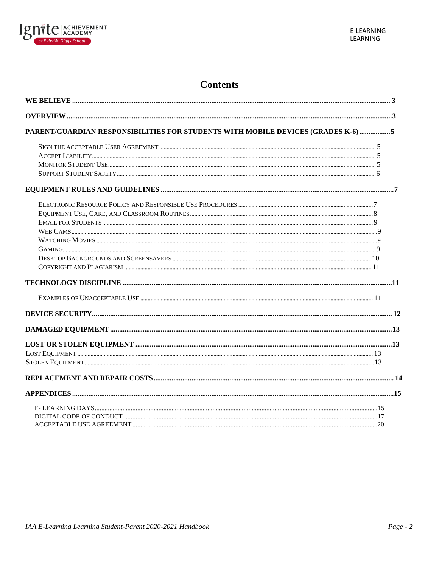

# **Contents**

| PARENT/GUARDIAN RESPONSIBILITIES FOR STUDENTS WITH MOBILE DEVICES (GRADES K-6) 5 |  |
|----------------------------------------------------------------------------------|--|
|                                                                                  |  |
|                                                                                  |  |
|                                                                                  |  |
|                                                                                  |  |
|                                                                                  |  |
|                                                                                  |  |
|                                                                                  |  |
|                                                                                  |  |
|                                                                                  |  |
|                                                                                  |  |
|                                                                                  |  |
|                                                                                  |  |
|                                                                                  |  |
|                                                                                  |  |
|                                                                                  |  |
|                                                                                  |  |
|                                                                                  |  |
|                                                                                  |  |
|                                                                                  |  |
|                                                                                  |  |
|                                                                                  |  |
|                                                                                  |  |
|                                                                                  |  |
|                                                                                  |  |
|                                                                                  |  |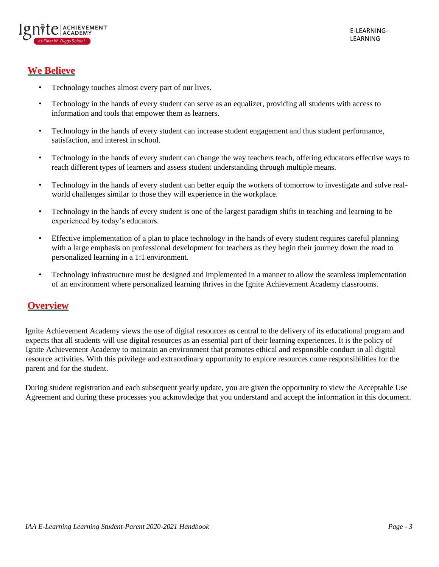

# <span id="page-2-0"></span>**We Believe**

- Technology touches almost every part of our lives.
- Technology in the hands of every student can serve as an equalizer, providing all students with access to information and tools that empower them as learners.
- Technology in the hands of every student can increase student engagement and thus student performance, satisfaction, and interest in school.
- Technology in the hands of every student can change the way teachers teach, offering educators effective ways to reach different types of learners and assess student understanding through multiple means.
- Technology in the hands of every student can better equip the workers of tomorrow to investigate and solve realworld challenges similar to those they will experience in the workplace.
- Technology in the hands of every student is one of the largest paradigm shifts in teaching and learning to be experienced by today's educators.
- Effective implementation of a plan to place technology in the hands of every student requires careful planning with a large emphasis on professional development for teachers as they begin their journey down the road to personalized learning in a 1:1 environment.
- Technology infrastructure must be designed and implemented in a manner to allow the seamless implementation of an environment where personalized learning thrives in the Ignite Achievement Academy classrooms.

# <span id="page-2-1"></span>**Overview**

Ignite Achievement Academy views the use of digital resources as central to the delivery of its educational program and expects that all students will use digital resources as an essential part of their learning experiences. It is the policy of Ignite Achievement Academy to maintain an environment that promotes ethical and responsible conduct in all digital resource activities. With this privilege and extraordinary opportunity to explore resources come responsibilities for the parent and for the student.

During student registration and each subsequent yearly update, you are given the opportunity to view the Acceptable Use Agreement and during these processes you acknowledge that you understand and accept the information in this document.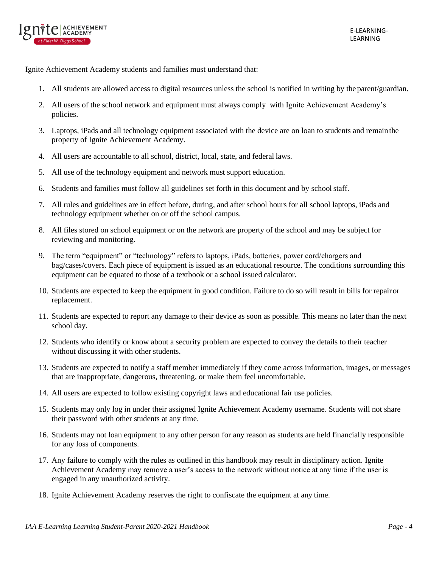

Ignite Achievement Academy students and families must understand that:

- 1. All students are allowed access to digital resources unless the school is notified in writing by the parent/guardian.
- 2. All users of the school network and equipment must always comply with Ignite Achievement Academy's policies.
- 3. Laptops, iPads and all technology equipment associated with the device are on loan to students and remainthe property of Ignite Achievement Academy.
- 4. All users are accountable to all school, district, local, state, and federal laws.
- 5. All use of the technology equipment and network must support education.
- 6. Students and families must follow all guidelines set forth in this document and by schoolstaff.
- 7. All rules and guidelines are in effect before, during, and after school hours for all school laptops, iPads and technology equipment whether on or off the school campus.
- 8. All files stored on school equipment or on the network are property of the school and may be subject for reviewing and monitoring.
- 9. The term "equipment" or "technology" refers to laptops, iPads, batteries, power cord/chargers and bag/cases/covers. Each piece of equipment is issued as an educational resource. The conditions surrounding this equipment can be equated to those of a textbook or a school issued calculator.
- 10. Students are expected to keep the equipment in good condition. Failure to do so will result in bills for repairor replacement.
- 11. Students are expected to report any damage to their device as soon as possible. This means no later than the next school day.
- 12. Students who identify or know about a security problem are expected to convey the details to their teacher without discussing it with other students.
- 13. Students are expected to notify a staff member immediately if they come across information, images, or messages that are inappropriate, dangerous, threatening, or make them feel uncomfortable.
- 14. All users are expected to follow existing copyright laws and educational fair use policies.
- 15. Students may only log in under their assigned Ignite Achievement Academy username. Students will not share their password with other students at any time.
- 16. Students may not loan equipment to any other person for any reason as students are held financially responsible for any loss of components.
- 17. Any failure to comply with the rules as outlined in this handbook may result in disciplinary action. Ignite Achievement Academy may remove a user's access to the network without notice at any time if the user is engaged in any unauthorized activity.
- 18. Ignite Achievement Academy reserves the right to confiscate the equipment at any time.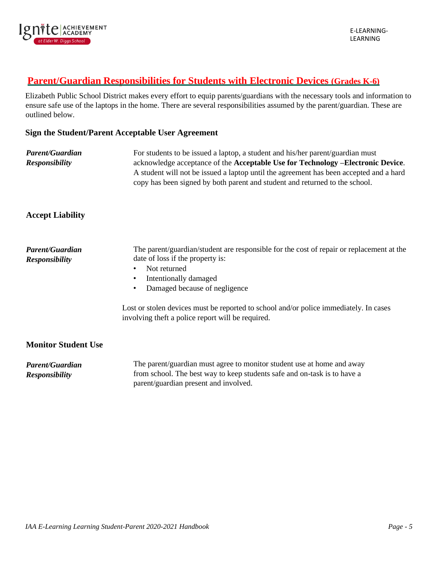

# <span id="page-4-0"></span>**Parent/Guardian Responsibilities for Students with Electronic Devices (Grades K-6)**

Elizabeth Public School District makes every effort to equip parents/guardians with the necessary tools and information to ensure safe use of the laptops in the home. There are several responsibilities assumed by the parent/guardian. These are outlined below.

#### **Sign the Student/Parent Acceptable User Agreement**

| <b>Parent/Guardian</b> | For students to be issued a laptop, a student and his/her parent/guardian must                  |  |
|------------------------|-------------------------------------------------------------------------------------------------|--|
| <b>Responsibility</b>  | acknowledge acceptance of the <b>Acceptable Use for Technology</b> - <b>Electronic Device</b> . |  |
|                        | A student will not be issued a laptop until the agreement has been accepted and a hard          |  |
|                        | copy has been signed by both parent and student and returned to the school.                     |  |

### **Accept Liability**

| Parent/Guardian<br><b>Responsibility</b> | The parent/guardian/student are responsible for the cost of repair or replacement at the<br>date of loss if the property is:<br>Not returned<br>Intentionally damaged<br>Damaged because of negligence |  |
|------------------------------------------|--------------------------------------------------------------------------------------------------------------------------------------------------------------------------------------------------------|--|
|                                          | Lost or stolen devices must be reported to school and/or police immediately. In cases<br>involving theft a police report will be required.                                                             |  |
| <b>Monitor Student Use</b>               |                                                                                                                                                                                                        |  |
| Parent/Guardian<br><b>Responsibility</b> | The parent/guardian must agree to monitor student use at home and away<br>from school. The best way to keep students safe and on-task is to have a                                                     |  |

parent/guardian present and involved.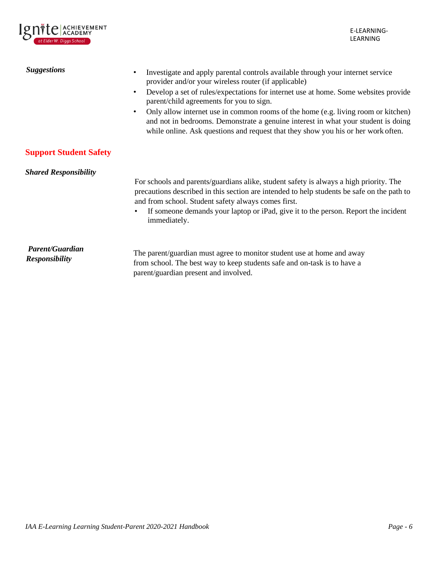

<span id="page-5-0"></span>

| <b>Suggestions</b>                              | Investigate and apply parental controls available through your internet service<br>provider and/or your wireless router (if applicable)<br>Develop a set of rules/expectations for internet use at home. Some websites provide<br>$\bullet$<br>parent/child agreements for you to sign.<br>Only allow internet use in common rooms of the home (e.g. living room or kitchen)<br>$\bullet$<br>and not in bedrooms. Demonstrate a genuine interest in what your student is doing<br>while online. Ask questions and request that they show you his or her work often. |
|-------------------------------------------------|---------------------------------------------------------------------------------------------------------------------------------------------------------------------------------------------------------------------------------------------------------------------------------------------------------------------------------------------------------------------------------------------------------------------------------------------------------------------------------------------------------------------------------------------------------------------|
| <b>Support Student Safety</b>                   |                                                                                                                                                                                                                                                                                                                                                                                                                                                                                                                                                                     |
| <b>Shared Responsibility</b>                    | For schools and parents/guardians alike, student safety is always a high priority. The<br>precautions described in this section are intended to help students be safe on the path to<br>and from school. Student safety always comes first.<br>If someone demands your laptop or iPad, give it to the person. Report the incident<br>$\bullet$<br>immediately.                                                                                                                                                                                                      |
| <b>Parent/Guardian</b><br><b>Responsibility</b> | The parent/guardian must agree to monitor student use at home and away<br>from school. The best way to keep students safe and on-task is to have a<br>parent/guardian present and involved.                                                                                                                                                                                                                                                                                                                                                                         |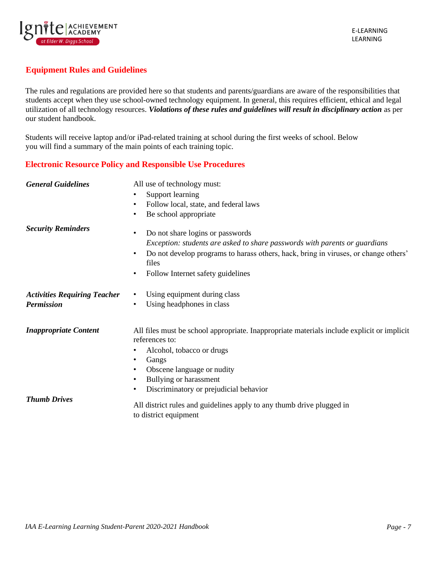

## <span id="page-6-0"></span>**Equipment Rules and Guidelines**

The rules and regulations are provided here so that students and parents/guardians are aware of the responsibilities that students accept when they use school-owned technology equipment. In general, this requires efficient, ethical and legal utilization of all technology resources. *Violations of these rules and guidelines will result in disciplinary action* as per our student handbook.

Students will receive laptop and/or iPad-related training at school during the first weeks of school. Below you will find a summary of the main points of each training topic.

### <span id="page-6-1"></span>**Electronic Resource Policy and Responsible Use Procedures**

| <b>General Guidelines</b>                                | All use of technology must:<br>Support learning<br>$\bullet$<br>Follow local, state, and federal laws<br>$\bullet$<br>Be school appropriate<br>$\bullet$                                                                                                                                      |
|----------------------------------------------------------|-----------------------------------------------------------------------------------------------------------------------------------------------------------------------------------------------------------------------------------------------------------------------------------------------|
| <b>Security Reminders</b>                                | Do not share logins or passwords<br>$\bullet$<br>Exception: students are asked to share passwords with parents or guardians<br>Do not develop programs to harass others, hack, bring in viruses, or change others'<br>$\bullet$<br>files<br>Follow Internet safety guidelines<br>٠            |
| <b>Activities Requiring Teacher</b><br><b>Permission</b> | Using equipment during class<br>$\bullet$<br>Using headphones in class<br>$\bullet$                                                                                                                                                                                                           |
| <b>Inappropriate Content</b>                             | All files must be school appropriate. Inappropriate materials include explicit or implicit<br>references to:<br>Alcohol, tobacco or drugs<br>٠<br>Gangs<br>$\bullet$<br>Obscene language or nudity<br>٠<br>Bullying or harassment<br>٠<br>Discriminatory or prejudicial behavior<br>$\bullet$ |
| <b>Thumb Drives</b>                                      | All district rules and guidelines apply to any thumb drive plugged in<br>to district equipment                                                                                                                                                                                                |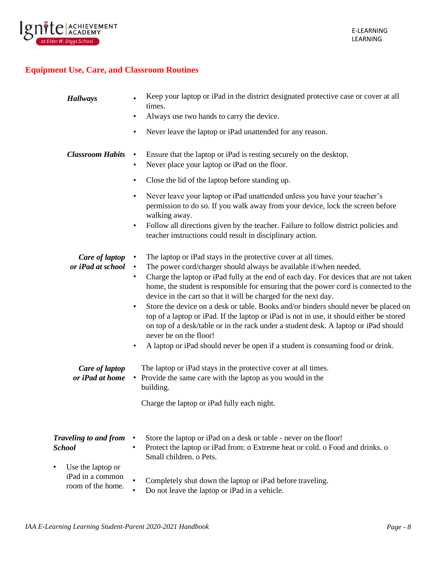

# <span id="page-7-0"></span>**Equipment Use, Care, and Classroom Routines**

| <b>Hallways</b>                       | Keep your laptop or iPad in the district designated protective case or cover at all<br>times.                                                                                                                                                                                                                                                                                                                                                   |
|---------------------------------------|-------------------------------------------------------------------------------------------------------------------------------------------------------------------------------------------------------------------------------------------------------------------------------------------------------------------------------------------------------------------------------------------------------------------------------------------------|
|                                       | Always use two hands to carry the device.<br>$\bullet$                                                                                                                                                                                                                                                                                                                                                                                          |
|                                       | Never leave the laptop or iPad unattended for any reason.<br>$\bullet$                                                                                                                                                                                                                                                                                                                                                                          |
| <b>Classroom Habits</b>               | Ensure that the laptop or iPad is resting securely on the desktop.<br>$\bullet$<br>Never place your laptop or iPad on the floor.<br>$\bullet$                                                                                                                                                                                                                                                                                                   |
|                                       | Close the lid of the laptop before standing up.<br>$\bullet$                                                                                                                                                                                                                                                                                                                                                                                    |
|                                       | Never leave your laptop or iPad unattended unless you have your teacher's<br>٠<br>permission to do so. If you walk away from your device, lock the screen before<br>walking away.                                                                                                                                                                                                                                                               |
|                                       | Follow all directions given by the teacher. Failure to follow district policies and<br>$\bullet$<br>teacher instructions could result in disciplinary action.                                                                                                                                                                                                                                                                                   |
| Care of laptop<br>or iPad at school   | The laptop or iPad stays in the protective cover at all times.<br>The power cord/charger should always be available if/when needed.<br>$\bullet$<br>Charge the laptop or iPad fully at the end of each day. For devices that are not taken<br>$\bullet$                                                                                                                                                                                         |
|                                       | home, the student is responsible for ensuring that the power cord is connected to the<br>device in the cart so that it will be charged for the next day.<br>Store the device on a desk or table. Books and/or binders should never be placed on<br>$\bullet$<br>top of a laptop or iPad. If the laptop or iPad is not in use, it should either be stored<br>on top of a desk/table or in the rack under a student desk. A laptop or iPad should |
|                                       | never be on the floor!<br>A laptop or iPad should never be open if a student is consuming food or drink.                                                                                                                                                                                                                                                                                                                                        |
|                                       |                                                                                                                                                                                                                                                                                                                                                                                                                                                 |
| Care of laptop                        | The laptop or iPad stays in the protective cover at all times.                                                                                                                                                                                                                                                                                                                                                                                  |
| or iPad at home                       | • Provide the same care with the laptop as you would in the<br>building.                                                                                                                                                                                                                                                                                                                                                                        |
|                                       | Charge the laptop or iPad fully each night.                                                                                                                                                                                                                                                                                                                                                                                                     |
| <b>Traveling to and from</b>          | Store the laptop or iPad on a desk or table - never on the floor!                                                                                                                                                                                                                                                                                                                                                                               |
| <b>School</b>                         | Protect the laptop or iPad from: o Extreme heat or cold. o Food and drinks. o<br>$\bullet$<br>Small children, o Pets.                                                                                                                                                                                                                                                                                                                           |
| Use the laptop or<br>$\bullet$        |                                                                                                                                                                                                                                                                                                                                                                                                                                                 |
| iPad in a common<br>room of the home. | Completely shut down the laptop or iPad before traveling.<br>Do not leave the laptop or iPad in a vehicle.                                                                                                                                                                                                                                                                                                                                      |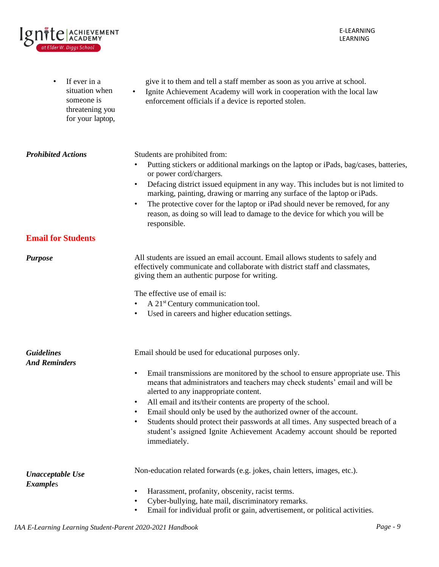E-LEARNING LEARNING

| If ever in a<br>$\bullet$<br>situation when<br>someone is<br>threatening you<br>for your laptop, | give it to them and tell a staff member as soon as you arrive at school.<br>Ignite Achievement Academy will work in cooperation with the local law<br>enforcement officials if a device is reported stolen.                                                                                                                                                                                                                                                                                                                                                                                                                             |  |
|--------------------------------------------------------------------------------------------------|-----------------------------------------------------------------------------------------------------------------------------------------------------------------------------------------------------------------------------------------------------------------------------------------------------------------------------------------------------------------------------------------------------------------------------------------------------------------------------------------------------------------------------------------------------------------------------------------------------------------------------------------|--|
| <b>Prohibited Actions</b>                                                                        | Students are prohibited from:<br>Putting stickers or additional markings on the laptop or iPads, bag/cases, batteries,<br>or power cord/chargers.<br>Defacing district issued equipment in any way. This includes but is not limited to<br>$\bullet$<br>marking, painting, drawing or marring any surface of the laptop or iPads.<br>The protective cover for the laptop or iPad should never be removed, for any<br>$\bullet$<br>reason, as doing so will lead to damage to the device for which you will be<br>responsible.                                                                                                           |  |
| <b>Email for Students</b>                                                                        |                                                                                                                                                                                                                                                                                                                                                                                                                                                                                                                                                                                                                                         |  |
| <b>Purpose</b>                                                                                   | All students are issued an email account. Email allows students to safely and<br>effectively communicate and collaborate with district staff and classmates,<br>giving them an authentic purpose for writing.                                                                                                                                                                                                                                                                                                                                                                                                                           |  |
|                                                                                                  | The effective use of email is:<br>A 21 <sup>st</sup> Century communication tool.<br>Used in careers and higher education settings.<br>$\bullet$                                                                                                                                                                                                                                                                                                                                                                                                                                                                                         |  |
| <b>Guidelines</b><br><b>And Reminders</b>                                                        | Email should be used for educational purposes only.<br>Email transmissions are monitored by the school to ensure appropriate use. This<br>$\bullet$<br>means that administrators and teachers may check students' email and will be<br>alerted to any inappropriate content.<br>All email and its/their contents are property of the school.<br>$\bullet$<br>Email should only be used by the authorized owner of the account.<br>$\bullet$<br>Students should protect their passwords at all times. Any suspected breach of a<br>$\bullet$<br>student's assigned Ignite Achievement Academy account should be reported<br>immediately. |  |
| <b>Unacceptable Use</b><br><b>Examples</b>                                                       | Non-education related forwards (e.g. jokes, chain letters, images, etc.).<br>Harassment, profanity, obscenity, racist terms.<br>$\bullet$<br>Cyber-bullying, hate mail, discriminatory remarks.<br>$\bullet$<br>Email for individual profit or gain, advertisement, or political activities.<br>٠                                                                                                                                                                                                                                                                                                                                       |  |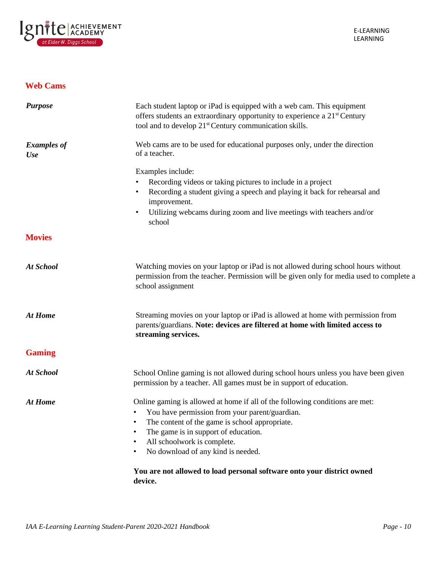

### <span id="page-9-0"></span>**Web Cams**

<span id="page-9-1"></span>

| <b>Purpose</b>                   | Each student laptop or iPad is equipped with a web cam. This equipment<br>offers students an extraordinary opportunity to experience a 21 <sup>st</sup> Century<br>tool and to develop 21 <sup>st</sup> Century communication skills. |  |
|----------------------------------|---------------------------------------------------------------------------------------------------------------------------------------------------------------------------------------------------------------------------------------|--|
| <b>Examples of</b><br><b>Use</b> | Web cams are to be used for educational purposes only, under the direction<br>of a teacher.                                                                                                                                           |  |
|                                  | Examples include:                                                                                                                                                                                                                     |  |
|                                  | Recording videos or taking pictures to include in a project                                                                                                                                                                           |  |
|                                  | Recording a student giving a speech and playing it back for rehearsal and<br>improvement.                                                                                                                                             |  |
|                                  | Utilizing webcams during zoom and live meetings with teachers and/or<br>$\bullet$<br>school                                                                                                                                           |  |
| <b>Movies</b>                    |                                                                                                                                                                                                                                       |  |
| <b>At School</b>                 | Watching movies on your laptop or iPad is not allowed during school hours without<br>permission from the teacher. Permission will be given only for media used to complete a<br>school assignment                                     |  |
| <b>At Home</b>                   | Streaming movies on your laptop or iPad is allowed at home with permission from<br>parents/guardians. Note: devices are filtered at home with limited access to<br>streaming services.                                                |  |
| <b>Gaming</b>                    |                                                                                                                                                                                                                                       |  |
| <b>At School</b>                 | School Online gaming is not allowed during school hours unless you have been given<br>permission by a teacher. All games must be in support of education.                                                                             |  |
| <b>At Home</b>                   | Online gaming is allowed at home if all of the following conditions are met:                                                                                                                                                          |  |
|                                  | You have permission from your parent/guardian.                                                                                                                                                                                        |  |
|                                  | The content of the game is school appropriate.                                                                                                                                                                                        |  |
|                                  | The game is in support of education.<br>٠                                                                                                                                                                                             |  |
|                                  | All schoolwork is complete.<br>$\bullet$                                                                                                                                                                                              |  |
|                                  | No download of any kind is needed.                                                                                                                                                                                                    |  |
|                                  | You are not allowed to load personal software onto your district owned<br>device.                                                                                                                                                     |  |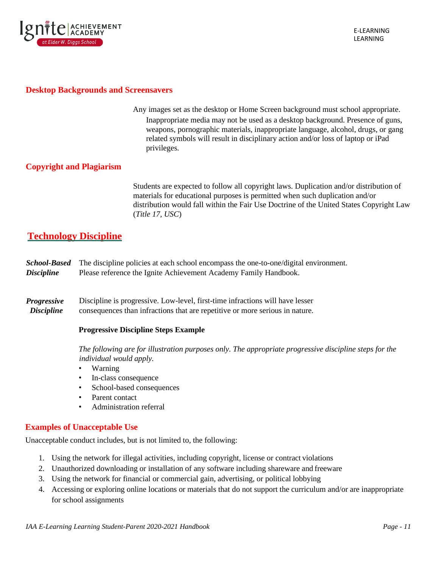

#### <span id="page-10-0"></span>**Desktop Backgrounds and Screensavers**

 Any images set as the desktop or Home Screen background must school appropriate. Inappropriate media may not be used as a desktop background. Presence of guns, weapons, pornographic materials, inappropriate language, alcohol, drugs, or gang related symbols will result in disciplinary action and/or loss of laptop or iPad privileges.

### <span id="page-10-1"></span>**Copyright and Plagiarism**

Students are expected to follow all copyright laws. Duplication and/or distribution of materials for educational purposes is permitted when such duplication and/or distribution would fall within the Fair Use Doctrine of the United States Copyright Law (*Title 17, USC*)

# <span id="page-10-2"></span>**Technology Discipline**

|                          | <b>School-Based</b> The discipline policies at each school encompass the one-to-one/digital environment. |
|--------------------------|----------------------------------------------------------------------------------------------------------|
| <i><b>Discipline</b></i> | Please reference the Ignite Achievement Academy Family Handbook.                                         |

*Progressive Discipline* Discipline is progressive. Low-level, first-time infractions will have lesser consequences than infractions that are repetitive or more serious in nature.

#### **Progressive Discipline Steps Example**

*The following are for illustration purposes only. The appropriate progressive discipline steps for the individual would apply.*

- Warning
- In-class consequence
- School-based consequences
- Parent contact
- Administration referral

### <span id="page-10-3"></span>**Examples of Unacceptable Use**

Unacceptable conduct includes, but is not limited to, the following:

- 1. Using the network for illegal activities, including copyright, license or contract violations
- 2. Unauthorized downloading or installation of any software including shareware and freeware
- 3. Using the network for financial or commercial gain, advertising, or political lobbying
- 4. Accessing or exploring online locations or materials that do not support the curriculum and/or are inappropriate for school assignments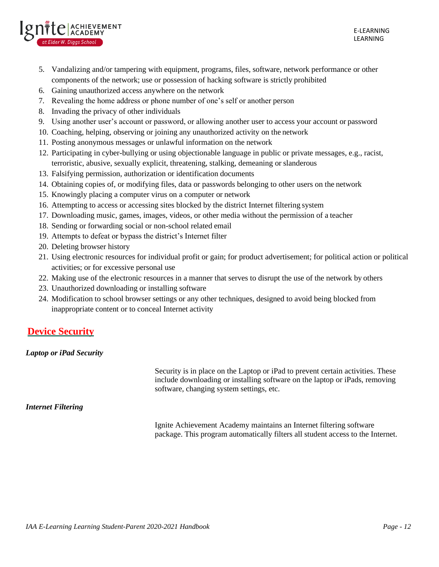

- 5. Vandalizing and/or tampering with equipment, programs, files, software, network performance or other components of the network; use or possession of hacking software is strictly prohibited
- 6. Gaining unauthorized access anywhere on the network
- 7. Revealing the home address or phone number of one's self or another person
- 8. Invading the privacy of other individuals
- 9. Using another user's account or password, or allowing another user to access your account or password
- 10. Coaching, helping, observing or joining any unauthorized activity on the network
- 11. Posting anonymous messages or unlawful information on the network
- 12. Participating in cyber-bullying or using objectionable language in public or private messages, e.g., racist, terroristic, abusive, sexually explicit, threatening, stalking, demeaning or slanderous
- 13. Falsifying permission, authorization or identification documents
- 14. Obtaining copies of, or modifying files, data or passwords belonging to other users on the network
- 15. Knowingly placing a computer virus on a computer or network
- 16. Attempting to access or accessing sites blocked by the district Internet filtering system
- 17. Downloading music, games, images, videos, or other media without the permission of a teacher
- 18. Sending or forwarding social or non-school related email
- 19. Attempts to defeat or bypass the district's Internet filter
- 20. Deleting browser history
- 21. Using electronic resources for individual profit or gain; for product advertisement; for political action or political activities; or for excessive personal use
- 22. Making use of the electronic resources in a manner that serves to disrupt the use of the network by others
- 23. Unauthorized downloading or installing software
- 24. Modification to school browser settings or any other techniques, designed to avoid being blocked from inappropriate content or to conceal Internet activity

# <span id="page-11-0"></span>**Device Security**

### *Laptop or iPad Security*

Security is in place on the Laptop or iPad to prevent certain activities. These include downloading or installing software on the laptop or iPads, removing software, changing system settings, etc.

### <span id="page-11-1"></span>*Internet Filtering*

Ignite Achievement Academy maintains an Internet filtering software package. This program automatically filters all student access to the Internet.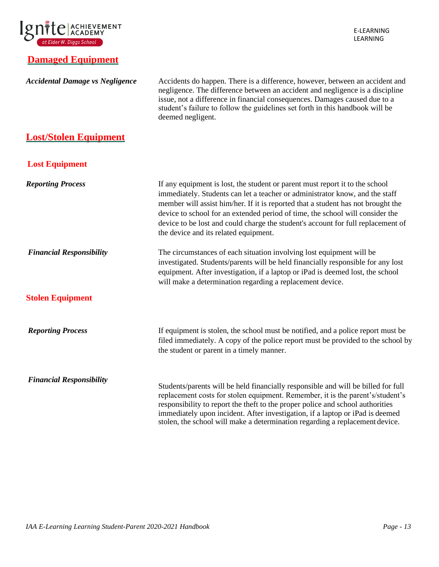

# **Damaged Equipment**

| <b>Accidental Damage vs Negligence</b> | Accidents do happen. There is a difference, however, between an accident and<br>negligence. The difference between an accident and negligence is a discipline<br>issue, not a difference in financial consequences. Damages caused due to a<br>student's failure to follow the guidelines set forth in this handbook will be<br>deemed negligent.                                                                                                              |
|----------------------------------------|----------------------------------------------------------------------------------------------------------------------------------------------------------------------------------------------------------------------------------------------------------------------------------------------------------------------------------------------------------------------------------------------------------------------------------------------------------------|
| <b>Lost/Stolen Equipment</b>           |                                                                                                                                                                                                                                                                                                                                                                                                                                                                |
| <b>Lost Equipment</b>                  |                                                                                                                                                                                                                                                                                                                                                                                                                                                                |
| <b>Reporting Process</b>               | If any equipment is lost, the student or parent must report it to the school<br>immediately. Students can let a teacher or administrator know, and the staff<br>member will assist him/her. If it is reported that a student has not brought the<br>device to school for an extended period of time, the school will consider the<br>device to be lost and could charge the student's account for full replacement of<br>the device and its related equipment. |
| <b>Financial Responsibility</b>        | The circumstances of each situation involving lost equipment will be<br>investigated. Students/parents will be held financially responsible for any lost<br>equipment. After investigation, if a laptop or iPad is deemed lost, the school<br>will make a determination regarding a replacement device.                                                                                                                                                        |
| <b>Stolen Equipment</b>                |                                                                                                                                                                                                                                                                                                                                                                                                                                                                |
| <b>Reporting Process</b>               | If equipment is stolen, the school must be notified, and a police report must be<br>filed immediately. A copy of the police report must be provided to the school by<br>the student or parent in a timely manner.                                                                                                                                                                                                                                              |
| <b>Financial Responsibility</b>        | Students/parents will be held financially responsible and will be billed for full<br>replacement costs for stolen equipment. Remember, it is the parent's/student's<br>responsibility to report the theft to the proper police and school authorities<br>immediately upon incident. After investigation, if a laptop or iPad is deemed<br>stolen, the school will make a determination regarding a replacement device.                                         |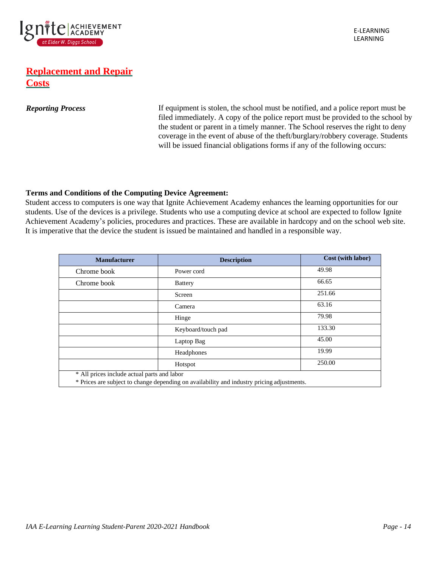

# **Replacement and Repair Costs**

**Reporting Process** If equipment is stolen, the school must be notified, and a police report must be filed immediately. A copy of the police report must be provided to the school by the student or parent in a timely manner. The School reserves the right to deny coverage in the event of abuse of the theft/burglary/robbery coverage. Students will be issued financial obligations forms if any of the following occurs:

### **Terms and Conditions of the Computing Device Agreement:**

Student access to computers is one way that Ignite Achievement Academy enhances the learning opportunities for our students. Use of the devices is a privilege. Students who use a computing device at school are expected to follow Ignite Achievement Academy's policies, procedures and practices. These are available in hardcopy and on the school web site. It is imperative that the device the student is issued be maintained and handled in a responsible way.

| <b>Manufacturer</b>                                                                        | <b>Description</b> | Cost (with labor) |
|--------------------------------------------------------------------------------------------|--------------------|-------------------|
| Chrome book                                                                                | Power cord         | 49.98             |
| Chrome book                                                                                | <b>Battery</b>     | 66.65             |
|                                                                                            | Screen             | 251.66            |
|                                                                                            | Camera             | 63.16             |
|                                                                                            | Hinge              | 79.98             |
|                                                                                            | Keyboard/touch pad | 133.30            |
|                                                                                            | Laptop Bag         | 45.00             |
|                                                                                            | Headphones         | 19.99             |
|                                                                                            | Hotspot            | 250.00            |
| * All prices include actual parts and labor                                                |                    |                   |
| * Prices are subject to change depending on availability and industry pricing adjustments. |                    |                   |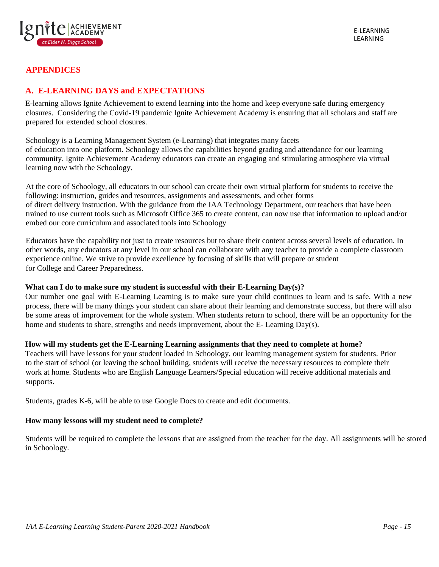

### <span id="page-14-0"></span>**APPENDICES**

## **A. E-LEARNING DAYS and EXPECTATIONS**

E-learning allows Ignite Achievement to extend learning into the home and keep everyone safe during emergency closures. Considering the Covid-19 pandemic Ignite Achievement Academy is ensuring that all scholars and staff are prepared for extended school closures.

Schoology is a Learning Management System (e-Learning) that integrates many facets of education into one platform. Schoology allows the capabilities beyond grading and attendance for our learning community. Ignite Achievement Academy educators can create an engaging and stimulating atmosphere via virtual learning now with the Schoology.

At the core of Schoology, all educators in our school can create their own virtual platform for students to receive the following: instruction, guides and resources, assignments and assessments, and other forms of direct delivery instruction. With the guidance from the IAA Technology Department, our teachers that have been trained to use current tools such as Microsoft Office 365 to create content, can now use that information to upload and/or embed our core curriculum and associated tools into Schoology

Educators have the capability not just to create resources but to share their content across several levels of education. In other words, any educators at any level in our school can collaborate with any teacher to provide a complete classroom experience online. We strive to provide excellence by focusing of skills that will prepare or student for College and Career Preparedness.

#### **What can I do to make sure my student is successful with their E-Learning Day(s)?**

Our number one goal with E-Learning Learning is to make sure your child continues to learn and is safe. With a new process, there will be many things your student can share about their learning and demonstrate success, but there will also be some areas of improvement for the whole system. When students return to school, there will be an opportunity for the home and students to share, strengths and needs improvement, about the E- Learning Day(s).

#### **How will my students get the E-Learning Learning assignments that they need to complete at home?**

Teachers will have lessons for your student loaded in Schoology, our learning management system for students. Prior to the start of school (or leaving the school building, students will receive the necessary resources to complete their work at home. Students who are English Language Learners/Special education will receive additional materials and supports.

Students, grades K-6, will be able to use Google Docs to create and edit documents.

#### **How many lessons will my student need to complete?**

Students will be required to complete the lessons that are assigned from the teacher for the day. All assignments will be stored in Schoology.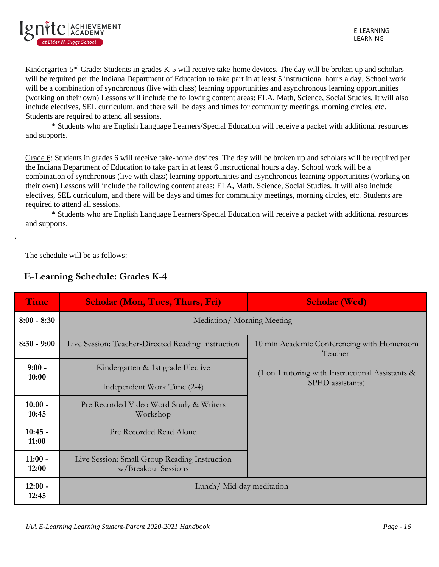

Kindergarten-5<sup>nd</sup> Grade: Students in grades K-5 will receive take-home devices. The day will be broken up and scholars will be required per the Indiana Department of Education to take part in at least 5 instructional hours a day. School work will be a combination of synchronous (live with class) learning opportunities and asynchronous learning opportunities (working on their own) Lessons will include the following content areas: ELA, Math, Science, Social Studies. It will also include electives, SEL curriculum, and there will be days and times for community meetings, morning circles, etc. Students are required to attend all sessions.

\* Students who are English Language Learners/Special Education will receive a packet with additional resources and supports.

Grade 6: Students in grades 6 will receive take-home devices. The day will be broken up and scholars will be required per the Indiana Department of Education to take part in at least 6 instructional hours a day. School work will be a combination of synchronous (live with class) learning opportunities and asynchronous learning opportunities (working on their own) Lessons will include the following content areas: ELA, Math, Science, Social Studies. It will also include electives, SEL curriculum, and there will be days and times for community meetings, morning circles, etc. Students are required to attend all sessions.

\* Students who are English Language Learners/Special Education will receive a packet with additional resources and supports.

The schedule will be as follows:

.

| <b>Time</b>        | <b>Scholar (Mon, Tues, Thurs, Fri)</b>                               | <b>Scholar (Wed)</b>                                                  |
|--------------------|----------------------------------------------------------------------|-----------------------------------------------------------------------|
| $8:00 - 8:30$      | Mediation/Morning Meeting                                            |                                                                       |
| $8:30 - 9:00$      | Live Session: Teacher-Directed Reading Instruction                   | 10 min Academic Conferencing with Homeroom<br>Teacher                 |
| $9:00 -$<br>10:00  | Kindergarten & 1st grade Elective                                    | $(1 \text{ on } 1 \text{ tutoff with Instructional Assistants } \& )$ |
|                    | Independent Work Time (2-4)                                          | SPED assistants)                                                      |
| $10:00 -$<br>10:45 | Pre Recorded Video Word Study & Writers<br>Workshop                  |                                                                       |
| $10:45 -$<br>11:00 | Pre Recorded Read Aloud                                              |                                                                       |
| $11:00 -$<br>12:00 | Live Session: Small Group Reading Instruction<br>w/Breakout Sessions |                                                                       |
| $12:00 -$<br>12:45 | Lunch/Mid-day meditation                                             |                                                                       |

# **E-Learning Schedule: Grades K-4**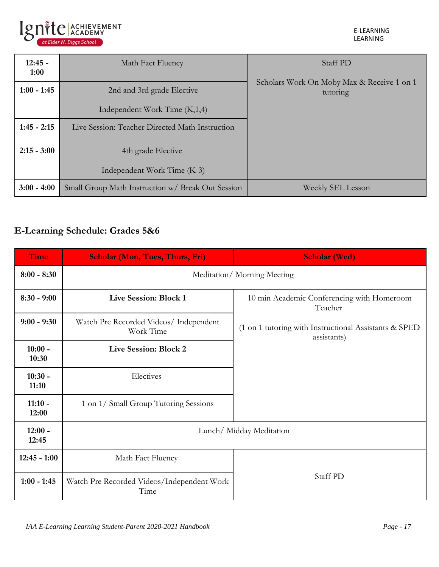

E-LEARNING LEARNING

| $12:45 -$<br>1:00 | Math Fact Fluency                                 | Staff PD                                               |
|-------------------|---------------------------------------------------|--------------------------------------------------------|
| $1:00 - 1:45$     | 2nd and 3rd grade Elective                        | Scholars Work On Moby Max & Receive 1 on 1<br>tutoring |
|                   | Independent Work Time (K,1,4)                     |                                                        |
| $1:45 - 2:15$     | Live Session: Teacher Directed Math Instruction   |                                                        |
| $2:15 - 3:00$     | 4th grade Elective                                |                                                        |
|                   | Independent Work Time (K-3)                       |                                                        |
| $3:00 - 4:00$     | Small Group Math Instruction w/ Break Out Session | Weekly SEL Lesson                                      |

# **E-Learning Schedule: Grades 5&6**

| <b>Time</b>        | <b>Scholar (Mon, Tues, Thurs, Fri)</b>              | <b>Scholar (Wed)</b>                                                 |  |
|--------------------|-----------------------------------------------------|----------------------------------------------------------------------|--|
| $8:00 - 8:30$      | Meditation/Morning Meeting                          |                                                                      |  |
| $8:30 - 9:00$      | Live Session: Block 1                               | 10 min Academic Conferencing with Homeroom<br>Teacher                |  |
| $9:00 - 9:30$      | Watch Pre Recorded Videos/ Independent<br>Work Time | (1 on 1 tutoring with Instructional Assistants & SPED<br>assistants) |  |
| $10:00 -$<br>10:30 | Live Session: Block 2                               |                                                                      |  |
| $10:30 -$<br>11:10 | Electives                                           |                                                                      |  |
| $11:10 -$<br>12:00 | 1 on 1/ Small Group Tutoring Sessions               |                                                                      |  |
| $12:00 -$<br>12:45 | Lunch/Midday Meditation                             |                                                                      |  |
| $12:45 - 1:00$     | Math Fact Fluency                                   |                                                                      |  |
| $1:00 - 1:45$      | Watch Pre Recorded Videos/Independent Work<br>Time  | Staff PD                                                             |  |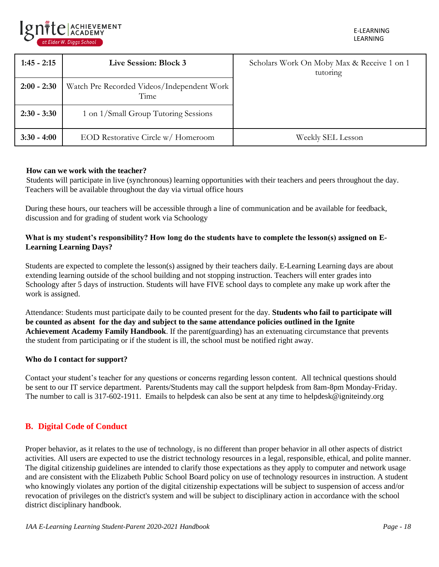

| $1:45 - 2:15$ | Live Session: Block 3                              | Scholars Work On Moby Max & Receive 1 on 1<br>tutoring |
|---------------|----------------------------------------------------|--------------------------------------------------------|
| $2:00 - 2:30$ | Watch Pre Recorded Videos/Independent Work<br>Time |                                                        |
| $2:30 - 3:30$ | 1 on 1/Small Group Tutoring Sessions               |                                                        |
| $3:30 - 4:00$ | EOD Restorative Circle w/ Homeroom                 | Weekly SEL Lesson                                      |

#### **How can we work with the teacher?**

Students will participate in live (synchronous) learning opportunities with their teachers and peers throughout the day. Teachers will be available throughout the day via virtual office hours

During these hours, our teachers will be accessible through a line of communication and be available for feedback, discussion and for grading of student work via Schoology

### **What is my student's responsibility? How long do the students have to complete the lesson(s) assigned on E-Learning Learning Days?**

Students are expected to complete the lesson(s) assigned by their teachers daily. E-Learning Learning days are about extending learning outside of the school building and not stopping instruction. Teachers will enter grades into Schoology after 5 days of instruction. Students will have FIVE school days to complete any make up work after the work is assigned.

Attendance: Students must participate daily to be counted present for the day. **Students who fail to participate will be counted as absent for the day and subject to the same attendance policies outlined in the Ignite Achievement Academy Family Handbook**. If the parent(guarding) has an extenuating circumstance that prevents the student from participating or if the student is ill, the school must be notified right away.

#### **Who do I contact for support?**

Contact your student's teacher for any questions or concerns regarding lesson content. All technical questions should be sent to our IT service department. Parents/Students may call the support helpdesk from 8am-8pm Monday-Friday. The number to call is 317-602-1911. Emails to helpdesk can also be sent at any time to helpdesk@igniteindy.org

### **B. Digital Code of Conduct**

Proper behavior, as it relates to the use of technology, is no different than proper behavior in all other aspects of district activities. All users are expected to use the district technology resources in a legal, responsible, ethical, and polite manner. The digital citizenship guidelines are intended to clarify those expectations as they apply to computer and network usage and are consistent with the Elizabeth Public School Board policy on use of technology resources in instruction. A student who knowingly violates any portion of the digital citizenship expectations will be subject to suspension of access and/or revocation of privileges on the district's system and will be subject to disciplinary action in accordance with the school district disciplinary handbook.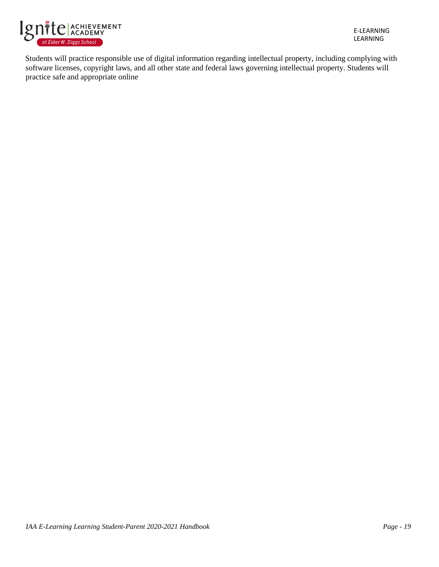

E-LEARNING LEARNING

Students will practice responsible use of digital information regarding intellectual property, including complying with software licenses, copyright laws, and all other state and federal laws governing intellectual property. Students will practice safe and appropriate online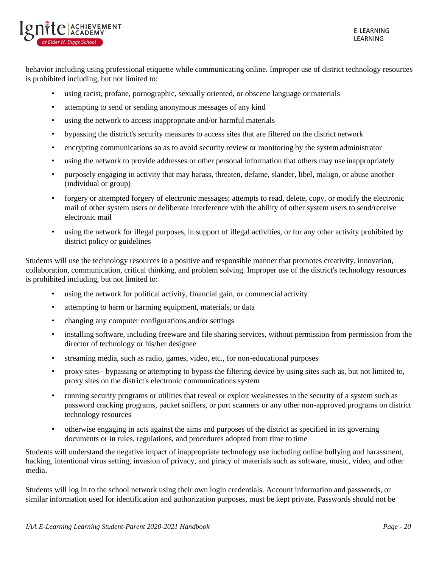

behavior including using professional etiquette while communicating online. Improper use of district technology resources is prohibited including, but not limited to:

- using racist, profane, pornographic, sexually oriented, or obscene language or materials
- attempting to send or sending anonymous messages of any kind
- using the network to access inappropriate and/or harmful materials
- bypassing the district's security measures to access sites that are filtered on the district network
- encrypting communications so as to avoid security review or monitoring by the system administrator
- using the network to provide addresses or other personal information that others may use inappropriately
- purposely engaging in activity that may harass, threaten, defame, slander, libel, malign, or abuse another (individual or group)
- forgery or attempted forgery of electronic messages; attempts to read, delete, copy, or modify the electronic mail of other system users or deliberate interference with the ability of other system users to send/receive electronic mail
- using the network for illegal purposes, in support of illegal activities, or for any other activity prohibited by district policy or guidelines

Students will use the technology resources in a positive and responsible manner that promotes creativity, innovation, collaboration, communication, critical thinking, and problem solving. Improper use of the district's technology resources is prohibited including, but not limited to:

- using the network for political activity, financial gain, or commercial activity
- attempting to harm or harming equipment, materials, or data
- changing any computer configurations and/or settings
- installing software, including freeware and file sharing services, without permission from permission from the director of technology or his/her designee
- streaming media, such as radio, games, video, etc., for non-educational purposes
- proxy sites bypassing or attempting to bypass the filtering device by using sites such as, but not limited to, proxy sites on the district's electronic communications system
- running security programs or utilities that reveal or exploit weaknesses in the security of a system such as password cracking programs, packet sniffers, or port scanners or any other non-approved programs on district technology resources
- otherwise engaging in acts against the aims and purposes of the district as specified in its governing documents or in rules, regulations, and procedures adopted from time to time

Students will understand the negative impact of inappropriate technology use including online bullying and harassment, hacking, intentional virus setting, invasion of privacy, and piracy of materials such as software, music, video, and other media.

Students will log in to the school network using their own login credentials. Account information and passwords, or similar information used for identification and authorization purposes, must be kept private. Passwords should not be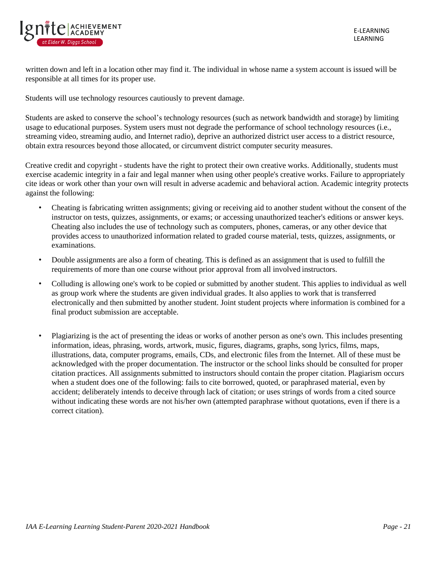

written down and left in a location other may find it. The individual in whose name a system account is issued will be responsible at all times for its proper use.

Students will use technology resources cautiously to prevent damage.

Students are asked to conserve the school's technology resources (such as network bandwidth and storage) by limiting usage to educational purposes. System users must not degrade the performance of school technology resources (i.e., streaming video, streaming audio, and Internet radio), deprive an authorized district user access to a district resource, obtain extra resources beyond those allocated, or circumvent district computer security measures.

Creative credit and copyright - students have the right to protect their own creative works. Additionally, students must exercise academic integrity in a fair and legal manner when using other people's creative works. Failure to appropriately cite ideas or work other than your own will result in adverse academic and behavioral action. Academic integrity protects against the following:

- Cheating is fabricating written assignments; giving or receiving aid to another student without the consent of the instructor on tests, quizzes, assignments, or exams; or accessing unauthorized teacher's editions or answer keys. Cheating also includes the use of technology such as computers, phones, cameras, or any other device that provides access to unauthorized information related to graded course material, tests, quizzes, assignments, or examinations.
- Double assignments are also a form of cheating. This is defined as an assignment that is used to fulfill the requirements of more than one course without prior approval from all involved instructors.
- Colluding is allowing one's work to be copied or submitted by another student. This applies to individual as well as group work where the students are given individual grades. It also applies to work that is transferred electronically and then submitted by another student. Joint student projects where information is combined for a final product submission are acceptable.
- Plagiarizing is the act of presenting the ideas or works of another person as one's own. This includes presenting information, ideas, phrasing, words, artwork, music, figures, diagrams, graphs, song lyrics, films, maps, illustrations, data, computer programs, emails, CDs, and electronic files from the Internet. All of these must be acknowledged with the proper documentation. The instructor or the school links should be consulted for proper citation practices. All assignments submitted to instructors should contain the proper citation. Plagiarism occurs when a student does one of the following: fails to cite borrowed, quoted, or paraphrased material, even by accident; deliberately intends to deceive through lack of citation; or uses strings of words from a cited source without indicating these words are not his/her own (attempted paraphrase without quotations, even if there is a correct citation).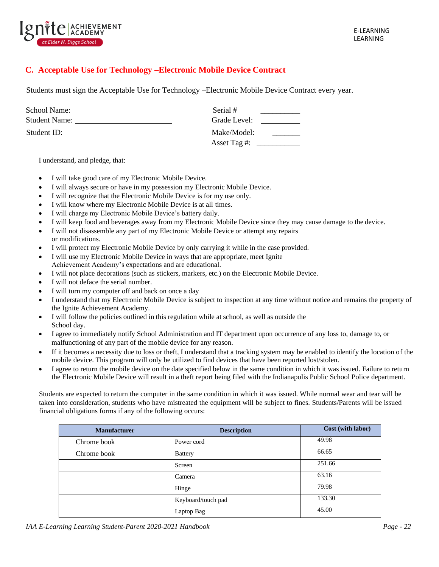

### **C. Acceptable Use for Technology –Electronic Mobile Device Contract**

Students must sign the Acceptable Use for Technology –Electronic Mobile Device Contract every year.

| School Name:         | Serial #     |
|----------------------|--------------|
| <b>Student Name:</b> | Grade Level: |
| Student ID:          | Make/Model:  |
|                      | Asset Tag #: |

I understand, and pledge, that:

- I will take good care of my Electronic Mobile Device.
- I will always secure or have in my possession my Electronic Mobile Device.
- I will recognize that the Electronic Mobile Device is for my use only.
- I will know where my Electronic Mobile Device is at all times.
- I will charge my Electronic Mobile Device's battery daily.
- I will keep food and beverages away from my Electronic Mobile Device since they may cause damage to the device.
- I will not disassemble any part of my Electronic Mobile Device or attempt any repairs or modifications.
- I will protect my Electronic Mobile Device by only carrying it while in the case provided.
- I will use my Electronic Mobile Device in ways that are appropriate, meet Ignite Achievement Academy's expectations and are educational.
- I will not place decorations (such as stickers, markers, etc.) on the Electronic Mobile Device.
- I will not deface the serial number.
- I will turn my computer off and back on once a day
- I understand that my Electronic Mobile Device is subject to inspection at any time without notice and remains the property of the Ignite Achievement Academy.
- I will follow the policies outlined in this regulation while at school, as well as outside the School day.
- I agree to immediately notify School Administration and IT department upon occurrence of any loss to, damage to, or malfunctioning of any part of the mobile device for any reason.
- If it becomes a necessity due to loss or theft, I understand that a tracking system may be enabled to identify the location of the mobile device. This program will only be utilized to find devices that have been reported lost/stolen.
- I agree to return the mobile device on the date specified below in the same condition in which it was issued. Failure to return the Electronic Mobile Device will result in a theft report being filed with the Indianapolis Public School Police department.

Students are expected to return the computer in the same condition in which it was issued. While normal wear and tear will be taken into consideration, students who have mistreated the equipment will be subject to fines. Students/Parents will be issued financial obligations forms if any of the following occurs:

| <b>Manufacturer</b> | <b>Description</b> | Cost (with labor) |
|---------------------|--------------------|-------------------|
| Chrome book         | Power cord         | 49.98             |
| Chrome book         | <b>Battery</b>     | 66.65             |
|                     | Screen             | 251.66            |
|                     | Camera             | 63.16             |
|                     | Hinge              | 79.98             |
|                     | Keyboard/touch pad | 133.30            |
|                     | Laptop Bag         | 45.00             |